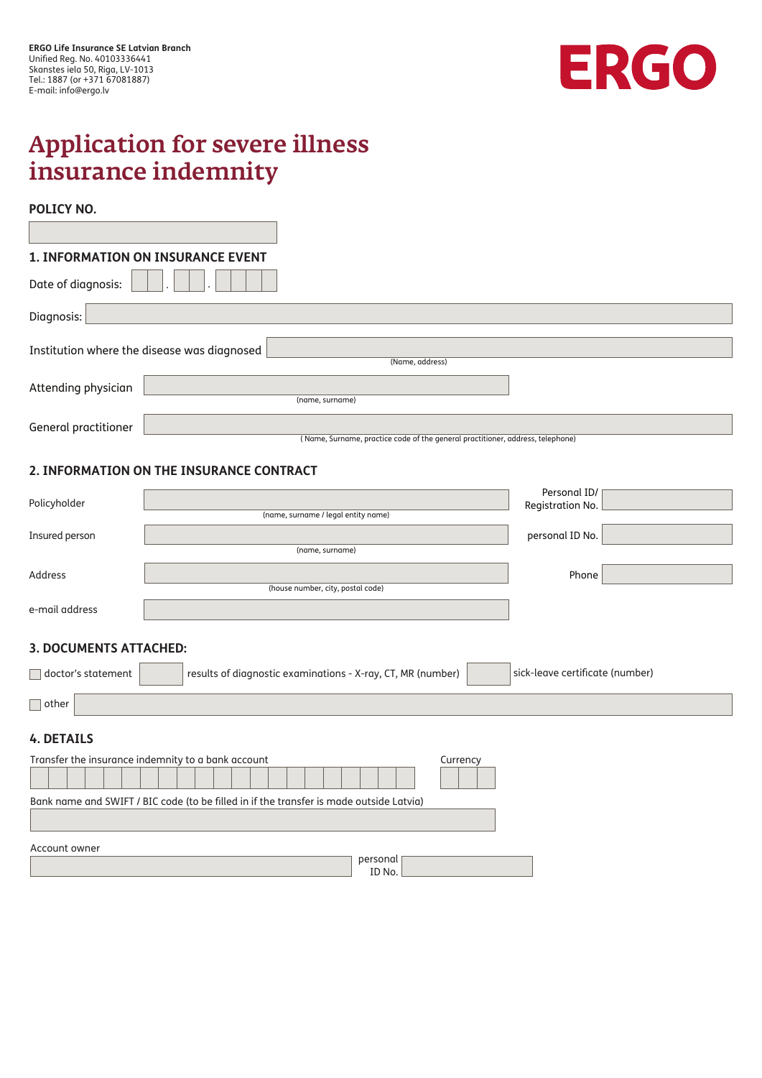

## Application for severe illness insurance indemnity

## **POLICY NO.**

|                      | <b>1. INFORMATION ON INSURANCE EVENT</b>                                       |
|----------------------|--------------------------------------------------------------------------------|
| Date of diagnosis:   |                                                                                |
| Diagnosis:           |                                                                                |
|                      |                                                                                |
|                      | Institution where the disease was diagnosed                                    |
|                      | (Name, address)                                                                |
| Attending physician  |                                                                                |
|                      | (name, surname)                                                                |
| General practitioner |                                                                                |
|                      | (Name, Surname, practice code of the general practitioner, address, telephone) |

## **2. INFORMATION ON THE INSURANCE CONTRACT**

| Policyholder                                                                            | Personal ID/                                                                                   |  |  |  |  |  |  |
|-----------------------------------------------------------------------------------------|------------------------------------------------------------------------------------------------|--|--|--|--|--|--|
|                                                                                         | Registration No.<br>(name, surname / legal entity name)                                        |  |  |  |  |  |  |
|                                                                                         |                                                                                                |  |  |  |  |  |  |
| Insured person                                                                          | personal ID No.<br>(name, surname)                                                             |  |  |  |  |  |  |
|                                                                                         |                                                                                                |  |  |  |  |  |  |
| Address                                                                                 | Phone                                                                                          |  |  |  |  |  |  |
|                                                                                         | (house number, city, postal code)                                                              |  |  |  |  |  |  |
| e-mail address                                                                          |                                                                                                |  |  |  |  |  |  |
|                                                                                         |                                                                                                |  |  |  |  |  |  |
|                                                                                         |                                                                                                |  |  |  |  |  |  |
| <b>3. DOCUMENTS ATTACHED:</b>                                                           |                                                                                                |  |  |  |  |  |  |
| doctor's statement                                                                      | sick-leave certificate (number)<br>results of diagnostic examinations - X-ray, CT, MR (number) |  |  |  |  |  |  |
|                                                                                         |                                                                                                |  |  |  |  |  |  |
| $\Box$ other                                                                            |                                                                                                |  |  |  |  |  |  |
|                                                                                         |                                                                                                |  |  |  |  |  |  |
| <b>4. DETAILS</b>                                                                       |                                                                                                |  |  |  |  |  |  |
|                                                                                         |                                                                                                |  |  |  |  |  |  |
|                                                                                         | Transfer the insurance indemnity to a bank account<br>Currency                                 |  |  |  |  |  |  |
|                                                                                         |                                                                                                |  |  |  |  |  |  |
|                                                                                         |                                                                                                |  |  |  |  |  |  |
| Bank name and SWIFT / BIC code (to be filled in if the transfer is made outside Latvia) |                                                                                                |  |  |  |  |  |  |
|                                                                                         |                                                                                                |  |  |  |  |  |  |
|                                                                                         |                                                                                                |  |  |  |  |  |  |
| Account owner<br>personal                                                               |                                                                                                |  |  |  |  |  |  |
|                                                                                         | ID No.                                                                                         |  |  |  |  |  |  |